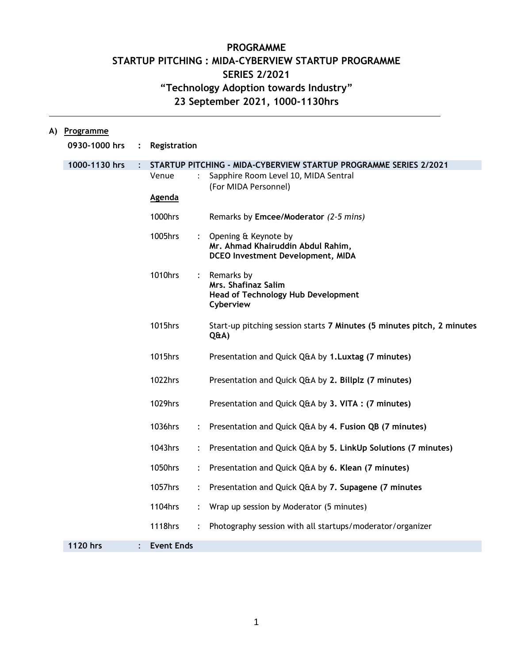## **PROGRAMME STARTUP PITCHING : MIDA-CYBERVIEW STARTUP PROGRAMME SERIES 2/2021 "Technology Adoption towards Industry" 23 September 2021, 1000-1130hrs**

| A) | Programme     |                      |                                                                   |                           |                                                                                                    |  |
|----|---------------|----------------------|-------------------------------------------------------------------|---------------------------|----------------------------------------------------------------------------------------------------|--|
|    | 0930-1000 hrs | $\ddot{\cdot}$       | Registration                                                      |                           |                                                                                                    |  |
|    | 1000-1130 hrs | $\ddot{\phantom{0}}$ | STARTUP PITCHING - MIDA-CYBERVIEW STARTUP PROGRAMME SERIES 2/2021 |                           |                                                                                                    |  |
|    |               |                      | Venue                                                             |                           | Sapphire Room Level 10, MIDA Sentral<br>(For MIDA Personnel)                                       |  |
|    |               |                      | <b>Agenda</b>                                                     |                           |                                                                                                    |  |
|    |               |                      | 1000hrs                                                           |                           | Remarks by Emcee/Moderator (2-5 mins)                                                              |  |
|    |               |                      | 1005hrs                                                           | $\mathbb{R}^{\mathbb{Z}}$ | Opening & Keynote by<br>Mr. Ahmad Khairuddin Abdul Rahim,<br>DCEO Investment Development, MIDA     |  |
|    |               |                      | 1010hrs                                                           | $\ddot{\cdot}$            | Remarks by<br><b>Mrs. Shafinaz Salim</b><br><b>Head of Technology Hub Development</b><br>Cyberview |  |
|    |               |                      | 1015hrs                                                           |                           | Start-up pitching session starts 7 Minutes (5 minutes pitch, 2 minutes<br>Q&A)                     |  |
|    |               |                      | 1015hrs                                                           |                           | Presentation and Quick Q&A by 1.Luxtag (7 minutes)                                                 |  |
|    |               |                      | 1022hrs                                                           |                           | Presentation and Quick Q&A by 2. Billplz (7 minutes)                                               |  |
|    |               |                      | 1029hrs                                                           |                           | Presentation and Quick Q&A by 3. VITA : (7 minutes)                                                |  |
|    |               |                      | 1036hrs                                                           | $\ddot{\cdot}$            | Presentation and Quick Q&A by 4. Fusion QB (7 minutes)                                             |  |
|    |               |                      | 1043hrs                                                           | $\ddot{\cdot}$            | Presentation and Quick Q&A by 5. LinkUp Solutions (7 minutes)                                      |  |
|    |               |                      | 1050hrs                                                           |                           | Presentation and Quick Q&A by 6. Klean (7 minutes)                                                 |  |
|    |               |                      | 1057hrs                                                           | $\ddot{\cdot}$            | Presentation and Quick Q&A by 7. Supagene (7 minutes                                               |  |
|    |               |                      | 1104hrs                                                           | $\ddot{\cdot}$            | Wrap up session by Moderator (5 minutes)                                                           |  |
|    |               |                      | 1118hrs                                                           |                           | Photography session with all startups/moderator/organizer                                          |  |
|    | 1120 hrs      |                      | <b>Event Ends</b>                                                 |                           |                                                                                                    |  |